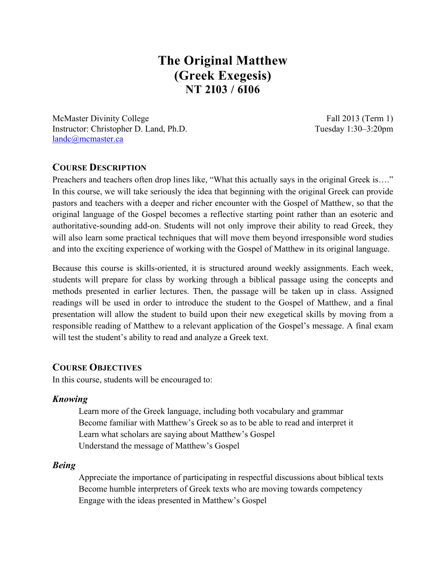# **The Original Matthew (Greek Exegesis) NT 2I03 / 6I06**

McMaster Divinity College Fall 2013 (Term 1) Instructor: Christopher D. Land, Ph.D. Tuesday 1:30–3:20pm landc@mcmaster.ca

## **COURSE DESCRIPTION**

Preachers and teachers often drop lines like, "What this actually says in the original Greek is…." In this course, we will take seriously the idea that beginning with the original Greek can provide pastors and teachers with a deeper and richer encounter with the Gospel of Matthew, so that the original language of the Gospel becomes a reflective starting point rather than an esoteric and authoritative-sounding add-on. Students will not only improve their ability to read Greek, they will also learn some practical techniques that will move them beyond irresponsible word studies and into the exciting experience of working with the Gospel of Matthew in its original language.

Because this course is skills-oriented, it is structured around weekly assignments. Each week, students will prepare for class by working through a biblical passage using the concepts and methods presented in earlier lectures. Then, the passage will be taken up in class. Assigned readings will be used in order to introduce the student to the Gospel of Matthew, and a final presentation will allow the student to build upon their new exegetical skills by moving from a responsible reading of Matthew to a relevant application of the Gospel's message. A final exam will test the student's ability to read and analyze a Greek text.

### **COURSE OBJECTIVES**

In this course, students will be encouraged to:

#### *Knowing*

Learn more of the Greek language, including both vocabulary and grammar Become familiar with Matthew's Greek so as to be able to read and interpret it Learn what scholars are saying about Matthew's Gospel Understand the message of Matthew's Gospel

#### *Being*

Appreciate the importance of participating in respectful discussions about biblical texts Become humble interpreters of Greek texts who are moving towards competency Engage with the ideas presented in Matthew's Gospel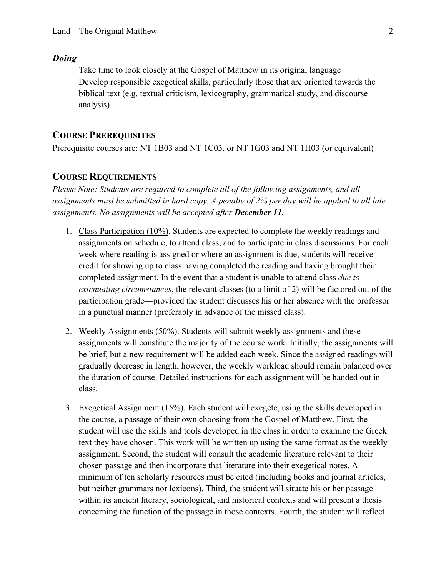#### *Doing*

Take time to look closely at the Gospel of Matthew in its original language Develop responsible exegetical skills, particularly those that are oriented towards the biblical text (e.g. textual criticism, lexicography, grammatical study, and discourse analysis).

### **COURSE PREREQUISITES**

Prerequisite courses are: NT 1B03 and NT 1C03, or NT 1G03 and NT 1H03 (or equivalent)

### **COURSE REQUIREMENTS**

*Please Note: Students are required to complete all of the following assignments, and all assignments must be submitted in hard copy. A penalty of 2% per day will be applied to all late assignments. No assignments will be accepted after December 11.*

- 1. Class Participation (10%). Students are expected to complete the weekly readings and assignments on schedule, to attend class, and to participate in class discussions. For each week where reading is assigned or where an assignment is due, students will receive credit for showing up to class having completed the reading and having brought their completed assignment. In the event that a student is unable to attend class *due to extenuating circumstances*, the relevant classes (to a limit of 2) will be factored out of the participation grade—provided the student discusses his or her absence with the professor in a punctual manner (preferably in advance of the missed class).
- 2. Weekly Assignments (50%). Students will submit weekly assignments and these assignments will constitute the majority of the course work. Initially, the assignments will be brief, but a new requirement will be added each week. Since the assigned readings will gradually decrease in length, however, the weekly workload should remain balanced over the duration of course. Detailed instructions for each assignment will be handed out in class.
- 3. Exegetical Assignment (15%). Each student will exegete, using the skills developed in the course, a passage of their own choosing from the Gospel of Matthew. First, the student will use the skills and tools developed in the class in order to examine the Greek text they have chosen. This work will be written up using the same format as the weekly assignment. Second, the student will consult the academic literature relevant to their chosen passage and then incorporate that literature into their exegetical notes. A minimum of ten scholarly resources must be cited (including books and journal articles, but neither grammars nor lexicons). Third, the student will situate his or her passage within its ancient literary, sociological, and historical contexts and will present a thesis concerning the function of the passage in those contexts. Fourth, the student will reflect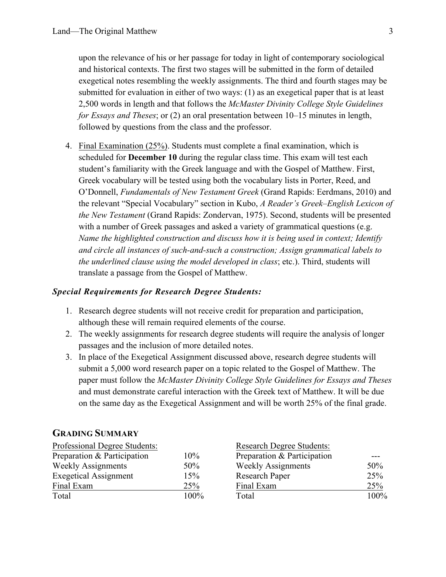upon the relevance of his or her passage for today in light of contemporary sociological and historical contexts. The first two stages will be submitted in the form of detailed exegetical notes resembling the weekly assignments. The third and fourth stages may be submitted for evaluation in either of two ways: (1) as an exegetical paper that is at least 2,500 words in length and that follows the *McMaster Divinity College Style Guidelines for Essays and Theses*; or (2) an oral presentation between 10–15 minutes in length, followed by questions from the class and the professor.

4. Final Examination (25%). Students must complete a final examination, which is scheduled for **December 10** during the regular class time. This exam will test each student's familiarity with the Greek language and with the Gospel of Matthew. First, Greek vocabulary will be tested using both the vocabulary lists in Porter, Reed, and O'Donnell, *Fundamentals of New Testament Greek* (Grand Rapids: Eerdmans, 2010) and the relevant "Special Vocabulary" section in Kubo, *A Reader's Greek–English Lexicon of the New Testament* (Grand Rapids: Zondervan, 1975). Second, students will be presented with a number of Greek passages and asked a variety of grammatical questions (e.g. *Name the highlighted construction and discuss how it is being used in context; Identify and circle all instances of such-and-such a construction; Assign grammatical labels to the underlined clause using the model developed in class*; etc.). Third, students will translate a passage from the Gospel of Matthew.

### *Special Requirements for Research Degree Students:*

- 1. Research degree students will not receive credit for preparation and participation, although these will remain required elements of the course.
- 2. The weekly assignments for research degree students will require the analysis of longer passages and the inclusion of more detailed notes.
- 3. In place of the Exegetical Assignment discussed above, research degree students will submit a 5,000 word research paper on a topic related to the Gospel of Matthew. The paper must follow the *McMaster Divinity College Style Guidelines for Essays and Theses* and must demonstrate careful interaction with the Greek text of Matthew. It will be due on the same day as the Exegetical Assignment and will be worth 25% of the final grade.

#### **GRADING SUMMARY**

| Professional Degree Students: | <b>Research Degree Students:</b> |                             |      |
|-------------------------------|----------------------------------|-----------------------------|------|
| Preparation & Participation   | 10%                              | Preparation & Participation |      |
| <b>Weekly Assignments</b>     | 50%                              | <b>Weekly Assignments</b>   | 50%  |
| <b>Exegetical Assignment</b>  | 15%                              | Research Paper              | 25%  |
| Final Exam                    | 25%                              | Final Exam                  | 25%  |
| Total                         | $100\%$                          | Total                       | 100% |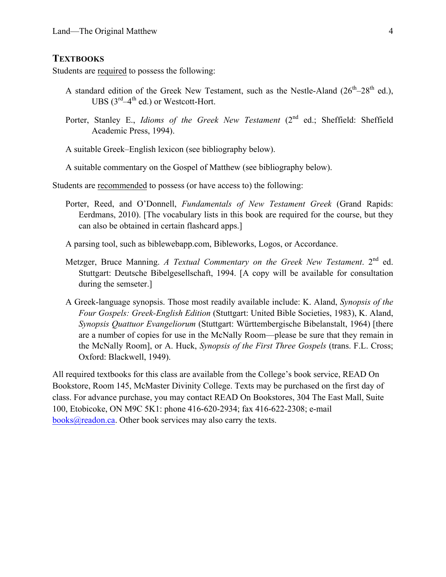### **TEXTBOOKS**

Students are required to possess the following:

- A standard edition of the Greek New Testament, such as the Nestle-Aland  $(26<sup>th</sup>-28<sup>th</sup>$  ed.), UBS  $(3^{rd} - 4^{th}$  ed.) or Westcott-Hort.
- Porter, Stanley E., *Idioms of the Greek New Testament* (2<sup>nd</sup> ed.; Sheffield: Sheffield Academic Press, 1994).

A suitable Greek–English lexicon (see bibliography below).

A suitable commentary on the Gospel of Matthew (see bibliography below).

Students are recommended to possess (or have access to) the following:

Porter, Reed, and O'Donnell, *Fundamentals of New Testament Greek* (Grand Rapids: Eerdmans, 2010). [The vocabulary lists in this book are required for the course, but they can also be obtained in certain flashcard apps.]

A parsing tool, such as biblewebapp.com, Bibleworks, Logos, or Accordance.

- Metzger, Bruce Manning. *A Textual Commentary on the Greek New Testament*. 2<sup>nd</sup> ed. Stuttgart: Deutsche Bibelgesellschaft, 1994. [A copy will be available for consultation during the semseter.]
- A Greek-language synopsis. Those most readily available include: K. Aland, *Synopsis of the Four Gospels: Greek-English Edition* (Stuttgart: United Bible Societies, 1983), K. Aland, *Synopsis Quattuor Evangeliorum* (Stuttgart: Württembergische Bibelanstalt, 1964) [there are a number of copies for use in the McNally Room—please be sure that they remain in the McNally Room], or A. Huck, *Synopsis of the First Three Gospels* (trans. F.L. Cross; Oxford: Blackwell, 1949).

All required textbooks for this class are available from the College's book service, READ On Bookstore, Room 145, McMaster Divinity College. Texts may be purchased on the first day of class. For advance purchase, you may contact READ On Bookstores, 304 The East Mall, Suite 100, Etobicoke, ON M9C 5K1: phone 416-620-2934; fax 416-622-2308; e-mail books@readon.ca. Other book services may also carry the texts.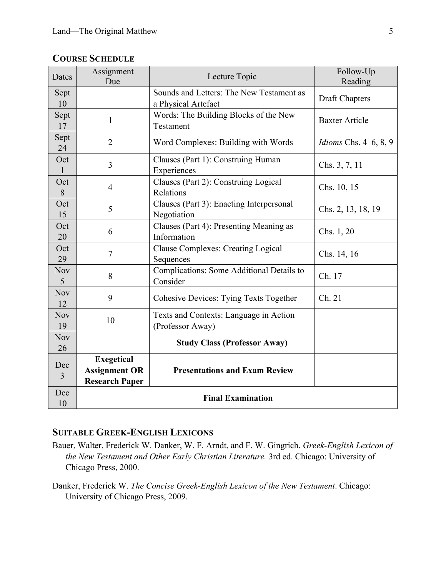| Dates            | Assignment<br>Due                                                  | Lecture Topic                                                   | Follow-Up<br>Reading         |  |
|------------------|--------------------------------------------------------------------|-----------------------------------------------------------------|------------------------------|--|
| Sept<br>10       |                                                                    | Sounds and Letters: The New Testament as<br>a Physical Artefact | <b>Draft Chapters</b>        |  |
| Sept<br>17       | 1                                                                  | Words: The Building Blocks of the New<br>Testament              | <b>Baxter Article</b>        |  |
| Sept<br>24       | $\overline{2}$                                                     | Word Complexes: Building with Words                             | <i>Idioms</i> Chs. 4–6, 8, 9 |  |
| Oct<br>1         | 3                                                                  | Clauses (Part 1): Construing Human<br>Experiences               | Chs. 3, 7, 11                |  |
| Oct<br>8         | $\overline{4}$                                                     | Clauses (Part 2): Construing Logical<br>Relations               | Chs. 10, 15                  |  |
| Oct<br>15        | 5                                                                  | Clauses (Part 3): Enacting Interpersonal<br>Negotiation         | Chs. 2, 13, 18, 19           |  |
| Oct<br>20        | 6                                                                  | Clauses (Part 4): Presenting Meaning as<br>Information          | Chs. 1, 20                   |  |
| Oct<br>29        | $\tau$                                                             | <b>Clause Complexes: Creating Logical</b><br>Sequences          | Chs. 14, 16                  |  |
| <b>Nov</b><br>5  | 8                                                                  | Complications: Some Additional Details to<br>Consider           | Ch. 17                       |  |
| <b>Nov</b><br>12 | 9                                                                  | <b>Cohesive Devices: Tying Texts Together</b>                   | Ch. 21                       |  |
| <b>Nov</b><br>19 | 10                                                                 | Texts and Contexts: Language in Action<br>(Professor Away)      |                              |  |
| <b>Nov</b><br>26 |                                                                    | <b>Study Class (Professor Away)</b>                             |                              |  |
| Dec<br>3         | <b>Exegetical</b><br><b>Assignment OR</b><br><b>Research Paper</b> | <b>Presentations and Exam Review</b>                            |                              |  |
| Dec<br>10        | <b>Final Examination</b>                                           |                                                                 |                              |  |

# **COURSE SCHEDULE**

# **SUITABLE GREEK-ENGLISH LEXICONS**

- Bauer, Walter, Frederick W. Danker, W. F. Arndt, and F. W. Gingrich. *Greek-English Lexicon of the New Testament and Other Early Christian Literature.* 3rd ed. Chicago: University of Chicago Press, 2000.
- Danker, Frederick W. *The Concise Greek-English Lexicon of the New Testament*. Chicago: University of Chicago Press, 2009.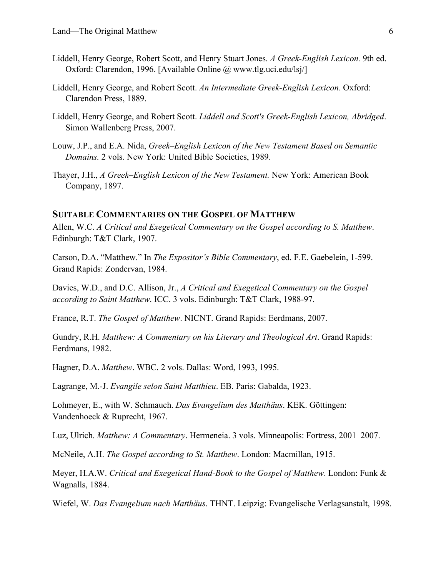- Liddell, Henry George, Robert Scott, and Henry Stuart Jones. *A Greek-English Lexicon.* 9th ed. Oxford: Clarendon, 1996. [Available Online @ www.tlg.uci.edu/lsj/]
- Liddell, Henry George, and Robert Scott. *An Intermediate Greek-English Lexicon*. Oxford: Clarendon Press, 1889.
- Liddell, Henry George, and Robert Scott. *Liddell and Scott's Greek-English Lexicon, Abridged*. Simon Wallenberg Press, 2007.
- Louw, J.P., and E.A. Nida, *Greek–English Lexicon of the New Testament Based on Semantic Domains.* 2 vols. New York: United Bible Societies, 1989.
- Thayer, J.H., *A Greek–English Lexicon of the New Testament.* New York: American Book Company, 1897.

#### **SUITABLE COMMENTARIES ON THE GOSPEL OF MATTHEW**

Allen, W.C. *A Critical and Exegetical Commentary on the Gospel according to S. Matthew*. Edinburgh: T&T Clark, 1907.

Carson, D.A. "Matthew." In *The Expositor's Bible Commentary*, ed. F.E. Gaebelein, 1-599. Grand Rapids: Zondervan, 1984.

Davies, W.D., and D.C. Allison, Jr., *A Critical and Exegetical Commentary on the Gospel according to Saint Matthew*. ICC. 3 vols. Edinburgh: T&T Clark, 1988-97.

France, R.T. *The Gospel of Matthew*. NICNT. Grand Rapids: Eerdmans, 2007.

Gundry, R.H. *Matthew: A Commentary on his Literary and Theological Art*. Grand Rapids: Eerdmans, 1982.

Hagner, D.A. *Matthew*. WBC. 2 vols. Dallas: Word, 1993, 1995.

Lagrange, M.-J. *Evangile selon Saint Matthieu*. EB. Paris: Gabalda, 1923.

Lohmeyer, E., with W. Schmauch. *Das Evangelium des Matthäus*. KEK. Göttingen: Vandenhoeck & Ruprecht, 1967.

Luz, Ulrich. *Matthew: A Commentary*. Hermeneia. 3 vols. Minneapolis: Fortress, 2001–2007.

McNeile, A.H. *The Gospel according to St. Matthew*. London: Macmillan, 1915.

Meyer, H.A.W. *Critical and Exegetical Hand-Book to the Gospel of Matthew*. London: Funk & Wagnalls, 1884.

Wiefel, W. *Das Evangelium nach Matthäus*. THNT. Leipzig: Evangelische Verlagsanstalt, 1998.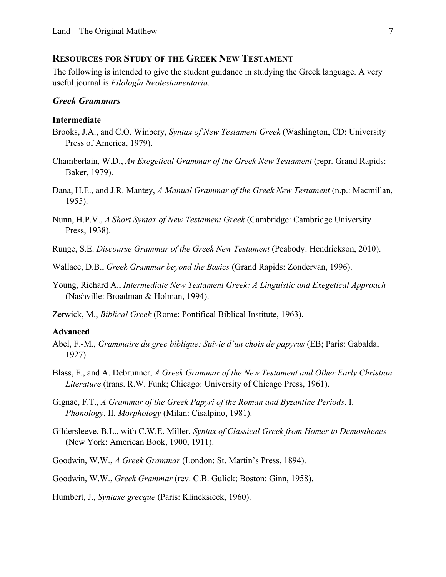#### **RESOURCES FOR STUDY OF THE GREEK NEW TESTAMENT**

The following is intended to give the student guidance in studying the Greek language. A very useful journal is *Filología Neotestamentaria*.

### *Greek Grammars*

#### **Intermediate**

- Brooks, J.A., and C.O. Winbery, *Syntax of New Testament Greek* (Washington, CD: University Press of America, 1979).
- Chamberlain, W.D., *An Exegetical Grammar of the Greek New Testament* (repr. Grand Rapids: Baker, 1979).
- Dana, H.E., and J.R. Mantey, *A Manual Grammar of the Greek New Testament* (n.p.: Macmillan, 1955).
- Nunn, H.P.V., *A Short Syntax of New Testament Greek* (Cambridge: Cambridge University Press, 1938).
- Runge, S.E. *Discourse Grammar of the Greek New Testament* (Peabody: Hendrickson, 2010).
- Wallace, D.B., *Greek Grammar beyond the Basics* (Grand Rapids: Zondervan, 1996).
- Young, Richard A., *Intermediate New Testament Greek: A Linguistic and Exegetical Approach* (Nashville: Broadman & Holman, 1994).
- Zerwick, M., *Biblical Greek* (Rome: Pontifical Biblical Institute, 1963).

#### **Advanced**

- Abel, F.-M., *Grammaire du grec biblique: Suivie d'un choix de papyrus* (EB; Paris: Gabalda, 1927).
- Blass, F., and A. Debrunner, *A Greek Grammar of the New Testament and Other Early Christian Literature* (trans. R.W. Funk; Chicago: University of Chicago Press, 1961).
- Gignac, F.T., *A Grammar of the Greek Papyri of the Roman and Byzantine Periods*. I. *Phonology*, II. *Morphology* (Milan: Cisalpino, 1981).
- Gildersleeve, B.L., with C.W.E. Miller, *Syntax of Classical Greek from Homer to Demosthenes* (New York: American Book, 1900, 1911).
- Goodwin, W.W., *A Greek Grammar* (London: St. Martin's Press, 1894).
- Goodwin, W.W., *Greek Grammar* (rev. C.B. Gulick; Boston: Ginn, 1958).

Humbert, J., *Syntaxe grecque* (Paris: Klincksieck, 1960).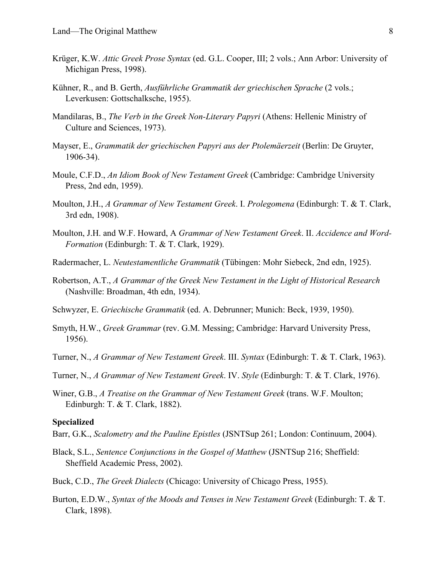- Krüger, K.W. *Attic Greek Prose Syntax* (ed. G.L. Cooper, III; 2 vols.; Ann Arbor: University of Michigan Press, 1998).
- Kühner, R., and B. Gerth, *Ausführliche Grammatik der griechischen Sprache* (2 vols.; Leverkusen: Gottschalksche, 1955).
- Mandilaras, B., *The Verb in the Greek Non-Literary Papyri* (Athens: Hellenic Ministry of Culture and Sciences, 1973).
- Mayser, E., *Grammatik der griechischen Papyri aus der Ptolemäerzeit* (Berlin: De Gruyter, 1906-34).
- Moule, C.F.D., *An Idiom Book of New Testament Greek* (Cambridge: Cambridge University Press, 2nd edn, 1959).
- Moulton, J.H., *A Grammar of New Testament Greek*. I. *Prolegomena* (Edinburgh: T. & T. Clark, 3rd edn, 1908).
- Moulton, J.H. and W.F. Howard, A *Grammar of New Testament Greek*. II. *Accidence and Word-Formation* (Edinburgh: T. & T. Clark, 1929).
- Radermacher, L. *Neutestamentliche Grammatik* (Tübingen: Mohr Siebeck, 2nd edn, 1925).
- Robertson, A.T., *A Grammar of the Greek New Testament in the Light of Historical Research* (Nashville: Broadman, 4th edn, 1934).
- Schwyzer, E. *Griechische Grammatik* (ed. A. Debrunner; Munich: Beck, 1939, 1950).
- Smyth, H.W., *Greek Grammar* (rev. G.M. Messing; Cambridge: Harvard University Press, 1956).
- Turner, N., *A Grammar of New Testament Greek*. III. *Syntax* (Edinburgh: T. & T. Clark, 1963).
- Turner, N., *A Grammar of New Testament Greek*. IV. *Style* (Edinburgh: T. & T. Clark, 1976).
- Winer, G.B., *A Treatise on the Grammar of New Testament Greek* (trans. W.F. Moulton; Edinburgh: T. & T. Clark, 1882).

#### **Specialized**

- Barr, G.K., *Scalometry and the Pauline Epistles* (JSNTSup 261; London: Continuum, 2004).
- Black, S.L., *Sentence Conjunctions in the Gospel of Matthew* (JSNTSup 216; Sheffield: Sheffield Academic Press, 2002).
- Buck, C.D., *The Greek Dialects* (Chicago: University of Chicago Press, 1955).
- Burton, E.D.W., *Syntax of the Moods and Tenses in New Testament Greek* (Edinburgh: T. & T. Clark, 1898).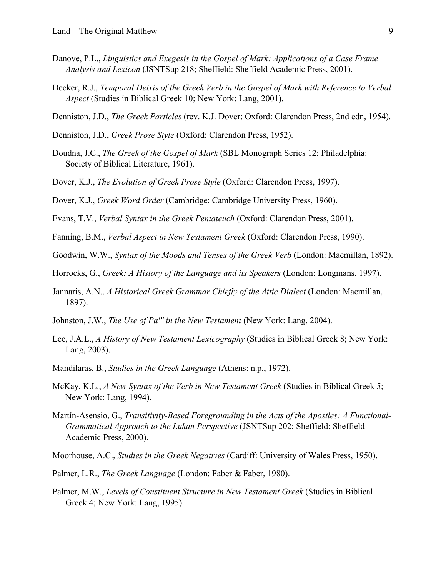- Danove, P.L., *Linguistics and Exegesis in the Gospel of Mark: Applications of a Case Frame Analysis and Lexicon* (JSNTSup 218; Sheffield: Sheffield Academic Press, 2001).
- Decker, R.J., *Temporal Deixis of the Greek Verb in the Gospel of Mark with Reference to Verbal Aspect* (Studies in Biblical Greek 10; New York: Lang, 2001).
- Denniston, J.D., *The Greek Particles* (rev. K.J. Dover; Oxford: Clarendon Press, 2nd edn, 1954).
- Denniston, J.D., *Greek Prose Style* (Oxford: Clarendon Press, 1952).
- Doudna, J.C., *The Greek of the Gospel of Mark* (SBL Monograph Series 12; Philadelphia: Society of Biblical Literature, 1961).
- Dover, K.J., *The Evolution of Greek Prose Style* (Oxford: Clarendon Press, 1997).
- Dover, K.J., *Greek Word Order* (Cambridge: Cambridge University Press, 1960).
- Evans, T.V., *Verbal Syntax in the Greek Pentateuch* (Oxford: Clarendon Press, 2001).
- Fanning, B.M., *Verbal Aspect in New Testament Greek* (Oxford: Clarendon Press, 1990).
- Goodwin, W.W., *Syntax of the Moods and Tenses of the Greek Verb* (London: Macmillan, 1892).
- Horrocks, G., *Greek: A History of the Language and its Speakers* (London: Longmans, 1997).
- Jannaris, A.N., *A Historical Greek Grammar Chiefly of the Attic Dialect* (London: Macmillan, 1897).
- Johnston, J.W., *The Use of Pa'" in the New Testament* (New York: Lang, 2004).
- Lee, J.A.L., *A History of New Testament Lexicography* (Studies in Biblical Greek 8; New York: Lang, 2003).
- Mandilaras, B., *Studies in the Greek Language* (Athens: n.p., 1972).
- McKay, K.L., *A New Syntax of the Verb in New Testament Greek* (Studies in Biblical Greek 5; New York: Lang, 1994).
- Martín-Asensio, G., *Transitivity-Based Foregrounding in the Acts of the Apostles: A Functional-Grammatical Approach to the Lukan Perspective* (JSNTSup 202; Sheffield: Sheffield Academic Press, 2000).
- Moorhouse, A.C., *Studies in the Greek Negatives* (Cardiff: University of Wales Press, 1950).
- Palmer, L.R., *The Greek Language* (London: Faber & Faber, 1980).
- Palmer, M.W., *Levels of Constituent Structure in New Testament Greek* (Studies in Biblical Greek 4; New York: Lang, 1995).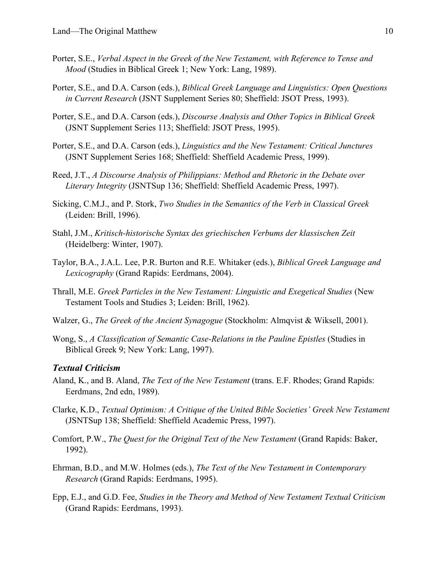- Porter, S.E., *Verbal Aspect in the Greek of the New Testament, with Reference to Tense and Mood* (Studies in Biblical Greek 1; New York: Lang, 1989).
- Porter, S.E., and D.A. Carson (eds.), *Biblical Greek Language and Linguistics: Open Questions in Current Research* (JSNT Supplement Series 80; Sheffield: JSOT Press, 1993).
- Porter, S.E., and D.A. Carson (eds.), *Discourse Analysis and Other Topics in Biblical Greek* (JSNT Supplement Series 113; Sheffield: JSOT Press, 1995).
- Porter, S.E., and D.A. Carson (eds.), *Linguistics and the New Testament: Critical Junctures*  (JSNT Supplement Series 168; Sheffield: Sheffield Academic Press, 1999).
- Reed, J.T., *A Discourse Analysis of Philippians: Method and Rhetoric in the Debate over Literary Integrity* (JSNTSup 136; Sheffield: Sheffield Academic Press, 1997).
- Sicking, C.M.J., and P. Stork, *Two Studies in the Semantics of the Verb in Classical Greek* (Leiden: Brill, 1996).
- Stahl, J.M., *Kritisch-historische Syntax des griechischen Verbums der klassischen Zeit* (Heidelberg: Winter, 1907).
- Taylor, B.A., J.A.L. Lee, P.R. Burton and R.E. Whitaker (eds.), *Biblical Greek Language and Lexicography* (Grand Rapids: Eerdmans, 2004).
- Thrall, M.E. *Greek Particles in the New Testament: Linguistic and Exegetical Studies* (New Testament Tools and Studies 3; Leiden: Brill, 1962).
- Walzer, G., *The Greek of the Ancient Synagogue* (Stockholm: Almqvist & Wiksell, 2001).
- Wong, S., *A Classification of Semantic Case-Relations in the Pauline Epistles* (Studies in Biblical Greek 9; New York: Lang, 1997).

#### *Textual Criticism*

- Aland, K., and B. Aland, *The Text of the New Testament* (trans. E.F. Rhodes; Grand Rapids: Eerdmans, 2nd edn, 1989).
- Clarke, K.D., *Textual Optimism: A Critique of the United Bible Societies' Greek New Testament* (JSNTSup 138; Sheffield: Sheffield Academic Press, 1997).
- Comfort, P.W., *The Quest for the Original Text of the New Testament* (Grand Rapids: Baker, 1992).
- Ehrman, B.D., and M.W. Holmes (eds.), *The Text of the New Testament in Contemporary Research* (Grand Rapids: Eerdmans, 1995).
- Epp, E.J., and G.D. Fee, *Studies in the Theory and Method of New Testament Textual Criticism* (Grand Rapids: Eerdmans, 1993).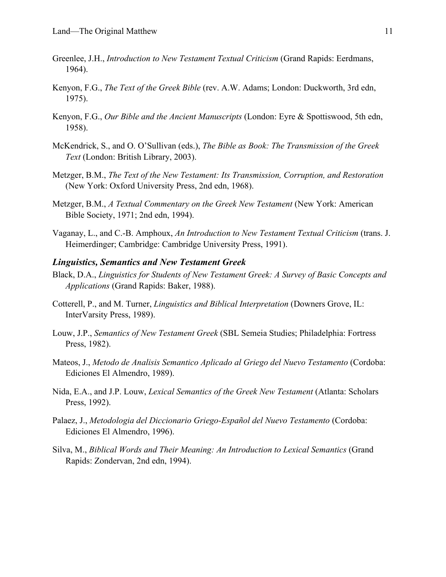- Greenlee, J.H., *Introduction to New Testament Textual Criticism* (Grand Rapids: Eerdmans, 1964).
- Kenyon, F.G., *The Text of the Greek Bible* (rev. A.W. Adams; London: Duckworth, 3rd edn, 1975).
- Kenyon, F.G., *Our Bible and the Ancient Manuscripts* (London: Eyre & Spottiswood, 5th edn, 1958).
- McKendrick, S., and O. O'Sullivan (eds.), *The Bible as Book: The Transmission of the Greek Text* (London: British Library, 2003).
- Metzger, B.M., *The Text of the New Testament: Its Transmission, Corruption, and Restoration* (New York: Oxford University Press, 2nd edn, 1968).
- Metzger, B.M., *A Textual Commentary on the Greek New Testament* (New York: American Bible Society, 1971; 2nd edn, 1994).
- Vaganay, L., and C.-B. Amphoux, *An Introduction to New Testament Textual Criticism* (trans. J. Heimerdinger; Cambridge: Cambridge University Press, 1991).

#### *Linguistics, Semantics and New Testament Greek*

- Black, D.A., *Linguistics for Students of New Testament Greek: A Survey of Basic Concepts and Applications* (Grand Rapids: Baker, 1988).
- Cotterell, P., and M. Turner, *Linguistics and Biblical Interpretation* (Downers Grove, IL: InterVarsity Press, 1989).
- Louw, J.P., *Semantics of New Testament Greek* (SBL Semeia Studies; Philadelphia: Fortress Press, 1982).
- Mateos, J., *Metodo de Analisis Semantico Aplicado al Griego del Nuevo Testamento* (Cordoba: Ediciones El Almendro, 1989).
- Nida, E.A., and J.P. Louw, *Lexical Semantics of the Greek New Testament* (Atlanta: Scholars Press, 1992).
- Palaez, J., *Metodologia del Diccionario Griego-Español del Nuevo Testamento* (Cordoba: Ediciones El Almendro, 1996).
- Silva, M., *Biblical Words and Their Meaning: An Introduction to Lexical Semantics* (Grand Rapids: Zondervan, 2nd edn, 1994).